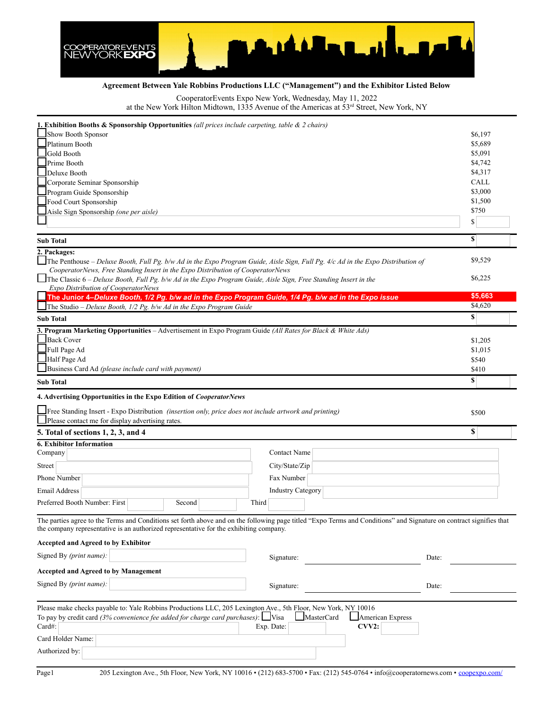

## **Agreement Between Yale Robbins Productions LLC ("Management") and the Exhibitor Listed Below**

CooperatorEvents Expo New York, Wednesday, May 11, 2022

at the New York Hilton Midtown, 1335 Avenue of the Americas at 53rd Street, New York, NY

| <b>1. Exhibition Booths &amp; Sponsorship Opportunities</b> (all prices include carpeting, table $\&$ 2 chairs)                                                                                                                                               |                                |
|---------------------------------------------------------------------------------------------------------------------------------------------------------------------------------------------------------------------------------------------------------------|--------------------------------|
| Show Booth Sponsor                                                                                                                                                                                                                                            | \$6,197                        |
| Platinum Booth                                                                                                                                                                                                                                                | \$5,689                        |
| Gold Booth                                                                                                                                                                                                                                                    | \$5,091                        |
| Prime Booth                                                                                                                                                                                                                                                   | \$4,742                        |
| Deluxe Booth                                                                                                                                                                                                                                                  | \$4,317                        |
| Corporate Seminar Sponsorship                                                                                                                                                                                                                                 | <b>CALL</b>                    |
| Program Guide Sponsorship                                                                                                                                                                                                                                     | \$3,000<br>\$1,500             |
| Food Court Sponsorship                                                                                                                                                                                                                                        | \$750                          |
| Aisle Sign Sponsorship (one per aisle)                                                                                                                                                                                                                        | \$                             |
|                                                                                                                                                                                                                                                               | $\mathbf{s}$                   |
| <b>Sub Total</b><br>2. Packages:                                                                                                                                                                                                                              |                                |
| The Penthouse - Deluxe Booth, Full Pg. b/w Ad in the Expo Program Guide, Aisle Sign, Full Pg. 4/c Ad in the Expo Distribution of<br>CooperatorNews, Free Standing Insert in the Expo Distribution of CooperatorNews                                           | \$9,529                        |
| The Classic 6 – Deluxe Booth, Full Pg. b/w Ad in the Expo Program Guide, Aisle Sign, Free Standing Insert in the<br>Expo Distribution of CooperatorNews                                                                                                       | \$6,225                        |
| The Junior 4-Deluxe Booth, 1/2 Pg. b/w ad in the Expo Program Guide, 1/4 Pg. b/w ad in the Expo issue                                                                                                                                                         | \$5,663<br>$\overline{$}4,620$ |
| The Studio - Deluxe Booth, 1/2 Pg. b/w Ad in the Expo Program Guide<br><b>Sub Total</b>                                                                                                                                                                       | S                              |
| 3. Program Marketing Opportunities - Advertisement in Expo Program Guide (All Rates for Black & White Ads)                                                                                                                                                    |                                |
| <b>Back Cover</b>                                                                                                                                                                                                                                             | \$1,205                        |
| Full Page Ad                                                                                                                                                                                                                                                  | \$1,015                        |
| Half Page Ad                                                                                                                                                                                                                                                  | \$540                          |
| Business Card Ad (please include card with payment)                                                                                                                                                                                                           | \$410                          |
| <b>Sub Total</b>                                                                                                                                                                                                                                              | S                              |
| 4. Advertising Opportunities in the Expo Edition of CooperatorNews                                                                                                                                                                                            |                                |
|                                                                                                                                                                                                                                                               |                                |
|                                                                                                                                                                                                                                                               |                                |
| Free Standing Insert - Expo Distribution (insertion only, price does not include artwork and printing)<br>Please contact me for display advertising rates.                                                                                                    | \$500                          |
| 5. Total of sections 1, 2, 3, and 4                                                                                                                                                                                                                           | \$                             |
| <b>6. Exhibitor Information</b>                                                                                                                                                                                                                               |                                |
| Contact Name<br>Company                                                                                                                                                                                                                                       |                                |
| City/State/Zip<br>Street                                                                                                                                                                                                                                      |                                |
|                                                                                                                                                                                                                                                               |                                |
| Phone Number<br>Fax Number                                                                                                                                                                                                                                    |                                |
| <b>Industry Category</b><br><b>Email Address</b><br>Preferred Booth Number: First<br>Third<br>Second                                                                                                                                                          |                                |
|                                                                                                                                                                                                                                                               |                                |
| The parties agree to the Terms and Conditions set forth above and on the following page titled "Expo Terms and Conditions" and Signature on contract signifies that<br>the company representative is an authorized representative for the exhibiting company. |                                |
| <b>Accepted and Agreed to by Exhibitor</b>                                                                                                                                                                                                                    |                                |
| Signed By (print name):<br>Signature:<br>Date:                                                                                                                                                                                                                |                                |
| <b>Accepted and Agreed to by Management</b>                                                                                                                                                                                                                   |                                |
| Signed By (print name):<br>Signature:<br>Date:                                                                                                                                                                                                                |                                |
| Please make checks payable to: Yale Robbins Productions LLC, 205 Lexington Ave., 5th Floor, New York, NY 10016                                                                                                                                                |                                |
| To pay by credit card (3% convenience fee added for charge card purchases): $\Box$ Visa<br>MasterCard<br><b>American Express</b>                                                                                                                              |                                |
| Card#:<br>Exp. Date:<br>CVV2:                                                                                                                                                                                                                                 |                                |
| Card Holder Name:                                                                                                                                                                                                                                             |                                |
| Authorized by:                                                                                                                                                                                                                                                |                                |